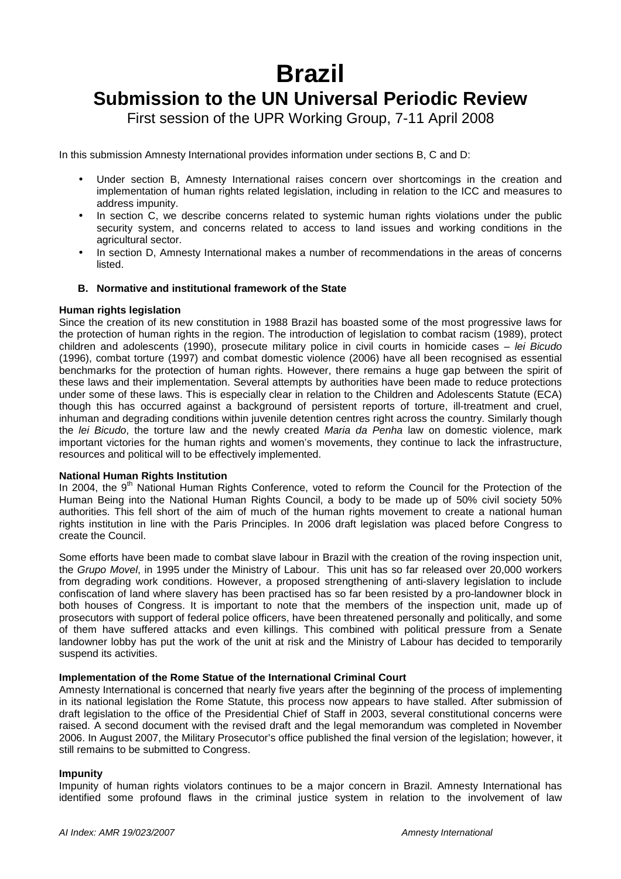# **Brazil**

# **Submission to the UN Universal Periodic Review**

First session of the UPR Working Group, 7-11 April 2008

In this submission Amnesty International provides information under sections B, C and D:

- Under section B, Amnesty International raises concern over shortcomings in the creation and implementation of human rights related legislation, including in relation to the ICC and measures to address impunity.
- In section C, we describe concerns related to systemic human rights violations under the public security system, and concerns related to access to land issues and working conditions in the agricultural sector.
- In section D, Amnesty International makes a number of recommendations in the areas of concerns listed.

# **B. Normative and institutional framework of the State**

# **Human rights legislation**

Since the creation of its new constitution in 1988 Brazil has boasted some of the most progressive laws for the protection of human rights in the region. The introduction of legislation to combat racism (1989), protect children and adolescents (1990), prosecute military police in civil courts in homicide cases - lei Bicudo (1996), combat torture (1997) and combat domestic violence (2006) have all been recognised as essential benchmarks for the protection of human rights. However, there remains a huge gap between the spirit of these laws and their implementation. Several attempts by authorities have been made to reduce protections under some of these laws. This is especially clear in relation to the Children and Adolescents Statute (ECA) though this has occurred against a background of persistent reports of torture, ill-treatment and cruel, inhuman and degrading conditions within juvenile detention centres right across the country. Similarly though the lei Bicudo, the torture law and the newly created Maria da Penha law on domestic violence, mark important victories for the human rights and women's movements, they continue to lack the infrastructure, resources and political will to be effectively implemented.

# **National Human Rights Institution**

In 2004, the 9<sup>th</sup> National Human Rights Conference, voted to reform the Council for the Protection of the Human Being into the National Human Rights Council, a body to be made up of 50% civil society 50% authorities. This fell short of the aim of much of the human rights movement to create a national human rights institution in line with the Paris Principles. In 2006 draft legislation was placed before Congress to create the Council.

Some efforts have been made to combat slave labour in Brazil with the creation of the roving inspection unit, the Grupo Movel, in 1995 under the Ministry of Labour. This unit has so far released over 20,000 workers from degrading work conditions. However, a proposed strengthening of anti-slavery legislation to include confiscation of land where slavery has been practised has so far been resisted by a pro-landowner block in both houses of Congress. It is important to note that the members of the inspection unit, made up of prosecutors with support of federal police officers, have been threatened personally and politically, and some of them have suffered attacks and even killings. This combined with political pressure from a Senate landowner lobby has put the work of the unit at risk and the Ministry of Labour has decided to temporarily suspend its activities.

# **Implementation of the Rome Statue of the International Criminal Court**

Amnesty International is concerned that nearly five years after the beginning of the process of implementing in its national legislation the Rome Statute, this process now appears to have stalled. After submission of draft legislation to the office of the Presidential Chief of Staff in 2003, several constitutional concerns were raised. A second document with the revised draft and the legal memorandum was completed in November 2006. In August 2007, the Military Prosecutor's office published the final version of the legislation; however, it still remains to be submitted to Congress.

# **Impunity**

Impunity of human rights violators continues to be a major concern in Brazil. Amnesty International has identified some profound flaws in the criminal justice system in relation to the involvement of law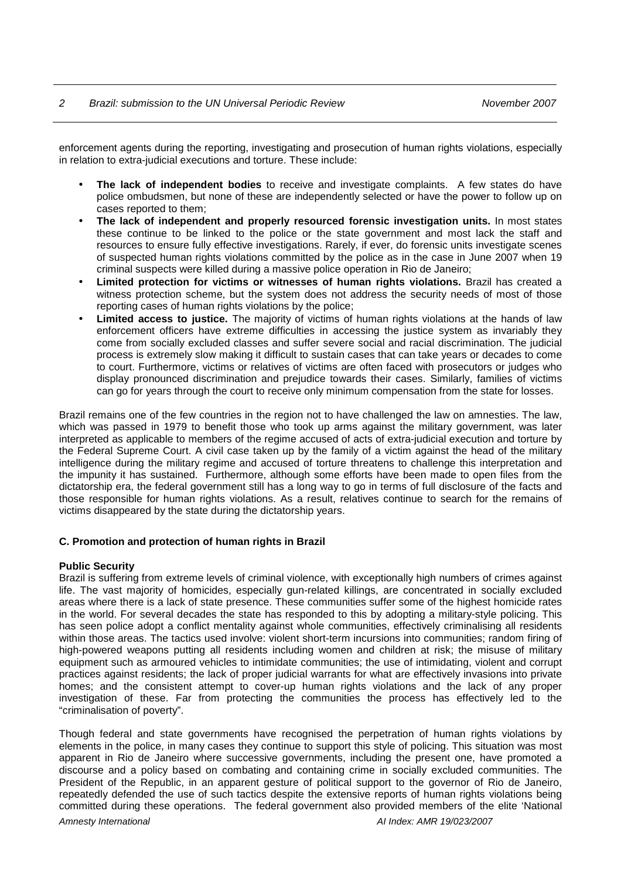# 2 Brazil: submission to the UN Universal Periodic Review November 2007

enforcement agents during the reporting, investigating and prosecution of human rights violations, especially in relation to extra-judicial executions and torture. These include:

- **The lack of independent bodies** to receive and investigate complaints. A few states do have police ombudsmen, but none of these are independently selected or have the power to follow up on cases reported to them;
- **The lack of independent and properly resourced forensic investigation units.** In most states these continue to be linked to the police or the state government and most lack the staff and resources to ensure fully effective investigations. Rarely, if ever, do forensic units investigate scenes of suspected human rights violations committed by the police as in the case in June 2007 when 19 criminal suspects were killed during a massive police operation in Rio de Janeiro;
- **Limited protection for victims or witnesses of human rights violations.** Brazil has created a witness protection scheme, but the system does not address the security needs of most of those reporting cases of human rights violations by the police;
- **Limited access to justice.** The majority of victims of human rights violations at the hands of law enforcement officers have extreme difficulties in accessing the justice system as invariably they come from socially excluded classes and suffer severe social and racial discrimination. The judicial process is extremely slow making it difficult to sustain cases that can take years or decades to come to court. Furthermore, victims or relatives of victims are often faced with prosecutors or judges who display pronounced discrimination and prejudice towards their cases. Similarly, families of victims can go for years through the court to receive only minimum compensation from the state for losses.

Brazil remains one of the few countries in the region not to have challenged the law on amnesties. The law, which was passed in 1979 to benefit those who took up arms against the military government, was later interpreted as applicable to members of the regime accused of acts of extra-judicial execution and torture by the Federal Supreme Court. A civil case taken up by the family of a victim against the head of the military intelligence during the military regime and accused of torture threatens to challenge this interpretation and the impunity it has sustained. Furthermore, although some efforts have been made to open files from the dictatorship era, the federal government still has a long way to go in terms of full disclosure of the facts and those responsible for human rights violations. As a result, relatives continue to search for the remains of victims disappeared by the state during the dictatorship years.

# **C. Promotion and protection of human rights in Brazil**

# **Public Security**

Brazil is suffering from extreme levels of criminal violence, with exceptionally high numbers of crimes against life. The vast majority of homicides, especially gun-related killings, are concentrated in socially excluded areas where there is a lack of state presence. These communities suffer some of the highest homicide rates in the world. For several decades the state has responded to this by adopting a military-style policing. This has seen police adopt a conflict mentality against whole communities, effectively criminalising all residents within those areas. The tactics used involve: violent short-term incursions into communities; random firing of high-powered weapons putting all residents including women and children at risk; the misuse of military equipment such as armoured vehicles to intimidate communities; the use of intimidating, violent and corrupt practices against residents; the lack of proper judicial warrants for what are effectively invasions into private homes; and the consistent attempt to cover-up human rights violations and the lack of any proper investigation of these. Far from protecting the communities the process has effectively led to the "criminalisation of poverty".

Amnesty International AI Index: AMR 19/023/2007 Though federal and state governments have recognised the perpetration of human rights violations by elements in the police, in many cases they continue to support this style of policing. This situation was most apparent in Rio de Janeiro where successive governments, including the present one, have promoted a discourse and a policy based on combating and containing crime in socially excluded communities. The President of the Republic, in an apparent gesture of political support to the governor of Rio de Janeiro, repeatedly defended the use of such tactics despite the extensive reports of human rights violations being committed during these operations. The federal government also provided members of the elite 'National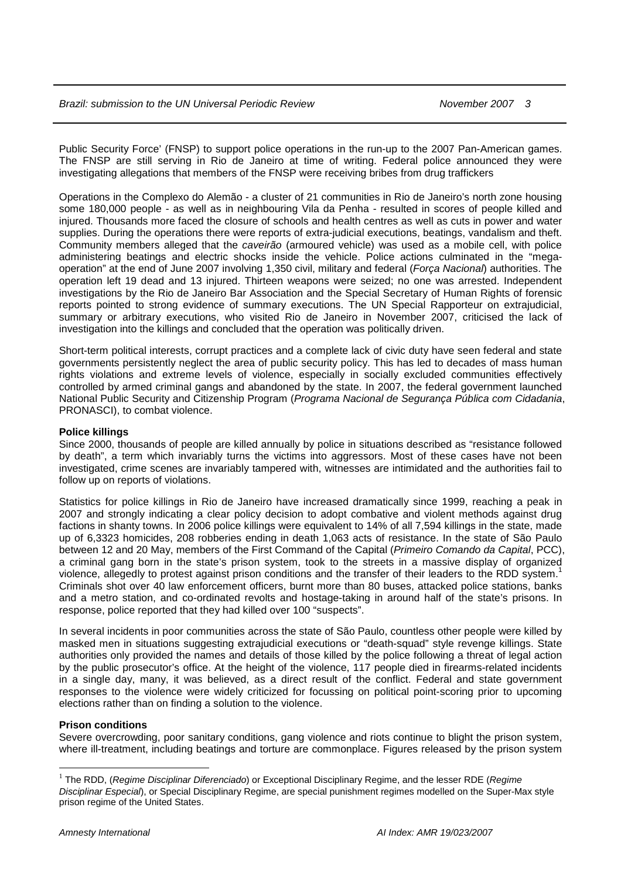Public Security Force' (FNSP) to support police operations in the run-up to the 2007 Pan-American games. The FNSP are still serving in Rio de Janeiro at time of writing. Federal police announced they were investigating allegations that members of the FNSP were receiving bribes from drug traffickers

Operations in the Complexo do Alemão - a cluster of 21 communities in Rio de Janeiro's north zone housing some 180,000 people - as well as in neighbouring Vila da Penha - resulted in scores of people killed and injured. Thousands more faced the closure of schools and health centres as well as cuts in power and water supplies. During the operations there were reports of extra-judicial executions, beatings, vandalism and theft. Community members alleged that the caveirão (armoured vehicle) was used as a mobile cell, with police administering beatings and electric shocks inside the vehicle. Police actions culminated in the "megaoperation" at the end of June 2007 involving 1,350 civil, military and federal (Força Nacional) authorities. The operation left 19 dead and 13 injured. Thirteen weapons were seized; no one was arrested. Independent investigations by the Rio de Janeiro Bar Association and the Special Secretary of Human Rights of forensic reports pointed to strong evidence of summary executions. The UN Special Rapporteur on extrajudicial, summary or arbitrary executions, who visited Rio de Janeiro in November 2007, criticised the lack of investigation into the killings and concluded that the operation was politically driven.

Short-term political interests, corrupt practices and a complete lack of civic duty have seen federal and state governments persistently neglect the area of public security policy. This has led to decades of mass human rights violations and extreme levels of violence, especially in socially excluded communities effectively controlled by armed criminal gangs and abandoned by the state. In 2007, the federal government launched National Public Security and Citizenship Program (Programa Nacional de Seguranca Pública com Cidadania, PRONASCI), to combat violence.

# **Police killings**

Since 2000, thousands of people are killed annually by police in situations described as "resistance followed by death", a term which invariably turns the victims into aggressors. Most of these cases have not been investigated, crime scenes are invariably tampered with, witnesses are intimidated and the authorities fail to follow up on reports of violations.

Statistics for police killings in Rio de Janeiro have increased dramatically since 1999, reaching a peak in 2007 and strongly indicating a clear policy decision to adopt combative and violent methods against drug factions in shanty towns. In 2006 police killings were equivalent to 14% of all 7,594 killings in the state, made up of 6,3323 homicides, 208 robberies ending in death 1,063 acts of resistance. In the state of São Paulo between 12 and 20 May, members of the First Command of the Capital (Primeiro Comando da Capital, PCC), a criminal gang born in the state's prison system, took to the streets in a massive display of organized violence, allegedly to protest against prison conditions and the transfer of their leaders to the RDD system.<sup>1</sup> Criminals shot over 40 law enforcement officers, burnt more than 80 buses, attacked police stations, banks and a metro station, and co-ordinated revolts and hostage-taking in around half of the state's prisons. In response, police reported that they had killed over 100 "suspects".

In several incidents in poor communities across the state of São Paulo, countless other people were killed by masked men in situations suggesting extrajudicial executions or "death-squad" style revenge killings. State authorities only provided the names and details of those killed by the police following a threat of legal action by the public prosecutor's office. At the height of the violence, 117 people died in firearms-related incidents in a single day, many, it was believed, as a direct result of the conflict. Federal and state government responses to the violence were widely criticized for focussing on political point-scoring prior to upcoming elections rather than on finding a solution to the violence.

# **Prison conditions**

 $\overline{a}$ 

Severe overcrowding, poor sanitary conditions, gang violence and riots continue to blight the prison system, where ill-treatment, including beatings and torture are commonplace. Figures released by the prison system

<sup>&</sup>lt;sup>1</sup> The RDD, (*Regime Disciplinar Diferenciado*) or Exceptional Disciplinary Regime, and the lesser RDE (*Regime* Disciplinar Especial), or Special Disciplinary Regime, are special punishment regimes modelled on the Super-Max style prison regime of the United States.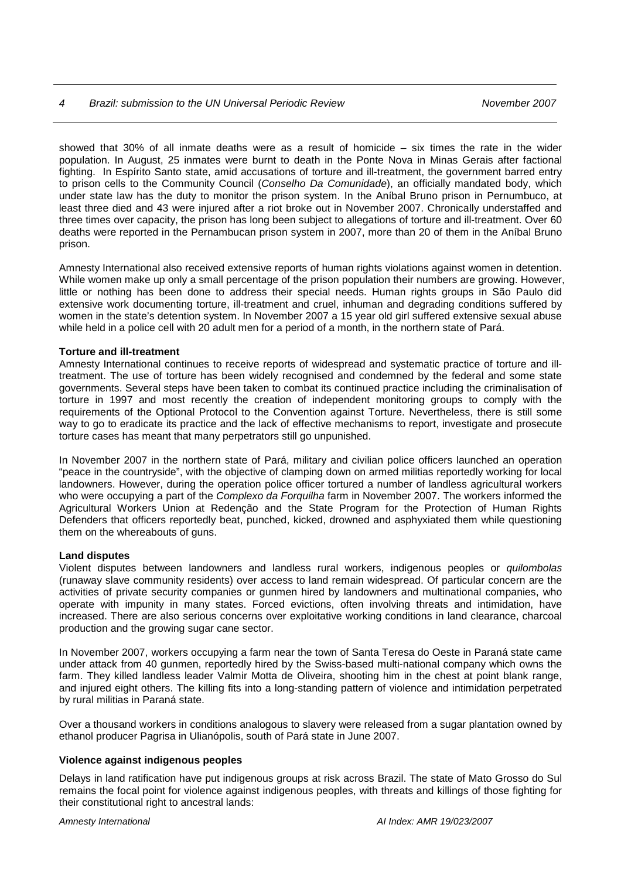# 4 Brazil: submission to the UN Universal Periodic Review November 2007

showed that 30% of all inmate deaths were as a result of homicide  $-$  six times the rate in the wider population. In August, 25 inmates were burnt to death in the Ponte Nova in Minas Gerais after factional fighting. In Espírito Santo state, amid accusations of torture and ill-treatment, the government barred entry to prison cells to the Community Council (Conselho Da Comunidade), an officially mandated body, which under state law has the duty to monitor the prison system. In the Aníbal Bruno prison in Pernumbuco, at least three died and 43 were injured after a riot broke out in November 2007. Chronically understaffed and three times over capacity, the prison has long been subject to allegations of torture and ill-treatment. Over 60 deaths were reported in the Pernambucan prison system in 2007, more than 20 of them in the Aníbal Bruno prison.

Amnesty International also received extensive reports of human rights violations against women in detention. While women make up only a small percentage of the prison population their numbers are growing. However, little or nothing has been done to address their special needs. Human rights groups in São Paulo did extensive work documenting torture, ill-treatment and cruel, inhuman and degrading conditions suffered by women in the state's detention system. In November 2007 a 15 year old girl suffered extensive sexual abuse while held in a police cell with 20 adult men for a period of a month, in the northern state of Pará.

# **Torture and ill-treatment**

Amnesty International continues to receive reports of widespread and systematic practice of torture and illtreatment. The use of torture has been widely recognised and condemned by the federal and some state governments. Several steps have been taken to combat its continued practice including the criminalisation of torture in 1997 and most recently the creation of independent monitoring groups to comply with the requirements of the Optional Protocol to the Convention against Torture. Nevertheless, there is still some way to go to eradicate its practice and the lack of effective mechanisms to report, investigate and prosecute torture cases has meant that many perpetrators still go unpunished.

In November 2007 in the northern state of Pará, military and civilian police officers launched an operation "peace in the countryside", with the objective of clamping down on armed militias reportedly working for local landowners. However, during the operation police officer tortured a number of landless agricultural workers who were occupying a part of the Complexo da Forquilha farm in November 2007. The workers informed the Agricultural Workers Union at Redenção and the State Program for the Protection of Human Rights Defenders that officers reportedly beat, punched, kicked, drowned and asphyxiated them while questioning them on the whereabouts of guns.

# **Land disputes**

Violent disputes between landowners and landless rural workers, indigenous peoples or quilombolas (runaway slave community residents) over access to land remain widespread. Of particular concern are the activities of private security companies or gunmen hired by landowners and multinational companies, who operate with impunity in many states. Forced evictions, often involving threats and intimidation, have increased. There are also serious concerns over exploitative working conditions in land clearance, charcoal production and the growing sugar cane sector.

In November 2007, workers occupying a farm near the town of Santa Teresa do Oeste in Paraná state came under attack from 40 gunmen, reportedly hired by the Swiss-based multi-national company which owns the farm. They killed landless leader Valmir Motta de Oliveira, shooting him in the chest at point blank range, and injured eight others. The killing fits into a long-standing pattern of violence and intimidation perpetrated by rural militias in Paraná state.

Over a thousand workers in conditions analogous to slavery were released from a sugar plantation owned by ethanol producer Pagrisa in Ulianópolis, south of Pará state in June 2007.

# **Violence against indigenous peoples**

Delays in land ratification have put indigenous groups at risk across Brazil. The state of Mato Grosso do Sul remains the focal point for violence against indigenous peoples, with threats and killings of those fighting for their constitutional right to ancestral lands: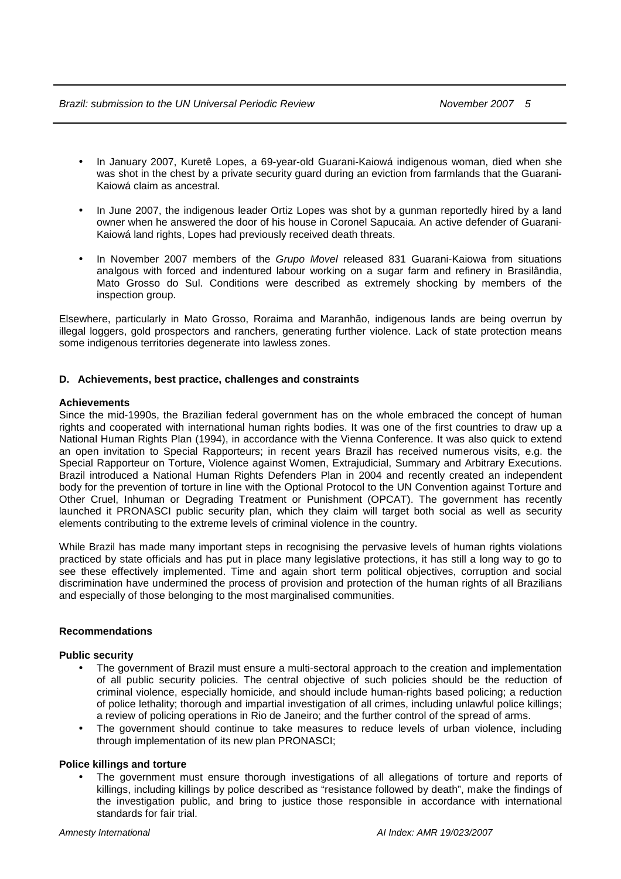Brazil: submission to the UN Universal Periodic Review November 2007 5

- In January 2007, Kuretê Lopes, a 69-year-old Guarani-Kaiowá indigenous woman, died when she was shot in the chest by a private security guard during an eviction from farmlands that the Guarani-Kaiowá claim as ancestral.
- In June 2007, the indigenous leader Ortiz Lopes was shot by a gunman reportedly hired by a land owner when he answered the door of his house in Coronel Sapucaia. An active defender of Guarani-Kaiowá land rights, Lopes had previously received death threats.
- In November 2007 members of the Grupo Movel released 831 Guarani-Kaiowa from situations analgous with forced and indentured labour working on a sugar farm and refinery in Brasilândia, Mato Grosso do Sul. Conditions were described as extremely shocking by members of the inspection group.

Elsewhere, particularly in Mato Grosso, Roraima and Maranhão, indigenous lands are being overrun by illegal loggers, gold prospectors and ranchers, generating further violence. Lack of state protection means some indigenous territories degenerate into lawless zones.

# **D. Achievements, best practice, challenges and constraints**

# **Achievements**

Since the mid-1990s, the Brazilian federal government has on the whole embraced the concept of human rights and cooperated with international human rights bodies. It was one of the first countries to draw up a National Human Rights Plan (1994), in accordance with the Vienna Conference. It was also quick to extend an open invitation to Special Rapporteurs; in recent years Brazil has received numerous visits, e.g. the Special Rapporteur on Torture, Violence against Women, Extrajudicial, Summary and Arbitrary Executions. Brazil introduced a National Human Rights Defenders Plan in 2004 and recently created an independent body for the prevention of torture in line with the Optional Protocol to the UN Convention against Torture and Other Cruel, Inhuman or Degrading Treatment or Punishment (OPCAT). The government has recently launched it PRONASCI public security plan, which they claim will target both social as well as security elements contributing to the extreme levels of criminal violence in the country.

While Brazil has made many important steps in recognising the pervasive levels of human rights violations practiced by state officials and has put in place many legislative protections, it has still a long way to go to see these effectively implemented. Time and again short term political objectives, corruption and social discrimination have undermined the process of provision and protection of the human rights of all Brazilians and especially of those belonging to the most marginalised communities.

# **Recommendations**

# **Public security**

- The government of Brazil must ensure a multi-sectoral approach to the creation and implementation of all public security policies. The central objective of such policies should be the reduction of criminal violence, especially homicide, and should include human-rights based policing; a reduction of police lethality; thorough and impartial investigation of all crimes, including unlawful police killings; a review of policing operations in Rio de Janeiro; and the further control of the spread of arms.
- The government should continue to take measures to reduce levels of urban violence, including through implementation of its new plan PRONASCI;

# **Police killings and torture**

The government must ensure thorough investigations of all allegations of torture and reports of killings, including killings by police described as "resistance followed by death", make the findings of the investigation public, and bring to justice those responsible in accordance with international standards for fair trial.